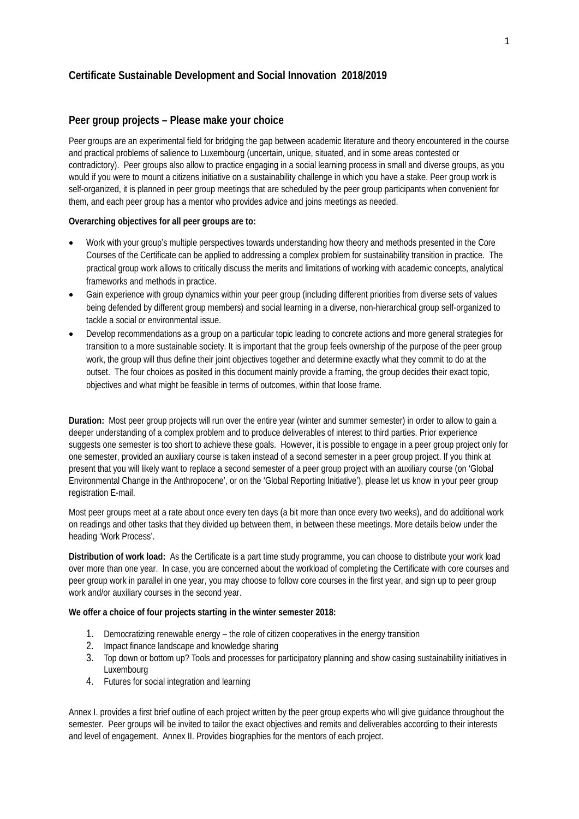# **Certificate Sustainable Development and Social Innovation 2018/2019**

## **Peer group projects – Please make your choice**

Peer groups are an experimental field for bridging the gap between academic literature and theory encountered in the course and practical problems of salience to Luxembourg (uncertain, unique, situated, and in some areas contested or contradictory). Peer groups also allow to practice engaging in a social learning process in small and diverse groups, as you would if you were to mount a citizens initiative on a sustainability challenge in which you have a stake. Peer group work is self-organized, it is planned in peer group meetings that are scheduled by the peer group participants when convenient for them, and each peer group has a mentor who provides advice and joins meetings as needed.

#### **Overarching objectives for all peer groups are to:**

- Work with your group's multiple perspectives towards understanding how theory and methods presented in the Core Courses of the Certificate can be applied to addressing a complex problem for sustainability transition in practice. The practical group work allows to critically discuss the merits and limitations of working with academic concepts, analytical frameworks and methods in practice.
- Gain experience with group dynamics within your peer group (including different priorities from diverse sets of values being defended by different group members) and social learning in a diverse, non-hierarchical group self-organized to tackle a social or environmental issue.
- Develop recommendations as a group on a particular topic leading to concrete actions and more general strategies for transition to a more sustainable society. It is important that the group feels ownership of the purpose of the peer group work, the group will thus define their joint objectives together and determine exactly what they commit to do at the outset. The four choices as posited in this document mainly provide a framing, the group decides their exact topic, objectives and what might be feasible in terms of outcomes, within that loose frame.

**Duration:** Most peer group projects will run over the entire year (winter and summer semester) in order to allow to gain a deeper understanding of a complex problem and to produce deliverables of interest to third parties. Prior experience suggests one semester is too short to achieve these goals. However, it is possible to engage in a peer group project only for one semester, provided an auxiliary course is taken instead of a second semester in a peer group project. If you think at present that you will likely want to replace a second semester of a peer group project with an auxiliary course (on 'Global Environmental Change in the Anthropocene', or on the 'Global Reporting Initiative'), please let us know in your peer group registration E-mail.

Most peer groups meet at a rate about once every ten days (a bit more than once every two weeks), and do additional work on readings and other tasks that they divided up between them, in between these meetings. More details below under the heading 'Work Process'.

**Distribution of work load:** As the Certificate is a part time study programme, you can choose to distribute your work load over more than one year. In case, you are concerned about the workload of completing the Certificate with core courses and peer group work in parallel in one year, you may choose to follow core courses in the first year, and sign up to peer group work and/or auxiliary courses in the second year.

#### **We offer a choice of four projects starting in the winter semester 2018:**

- 1. Democratizing renewable energy the role of citizen cooperatives in the energy transition
- 2. Impact finance landscape and knowledge sharing
- 3. Top down or bottom up? Tools and processes for participatory planning and show casing sustainability initiatives in Luxembourg
- 4. Futures for social integration and learning

Annex I. provides a first brief outline of each project written by the peer group experts who will give guidance throughout the semester. Peer groups will be invited to tailor the exact objectives and remits and deliverables according to their interests and level of engagement. Annex II. Provides biographies for the mentors of each project.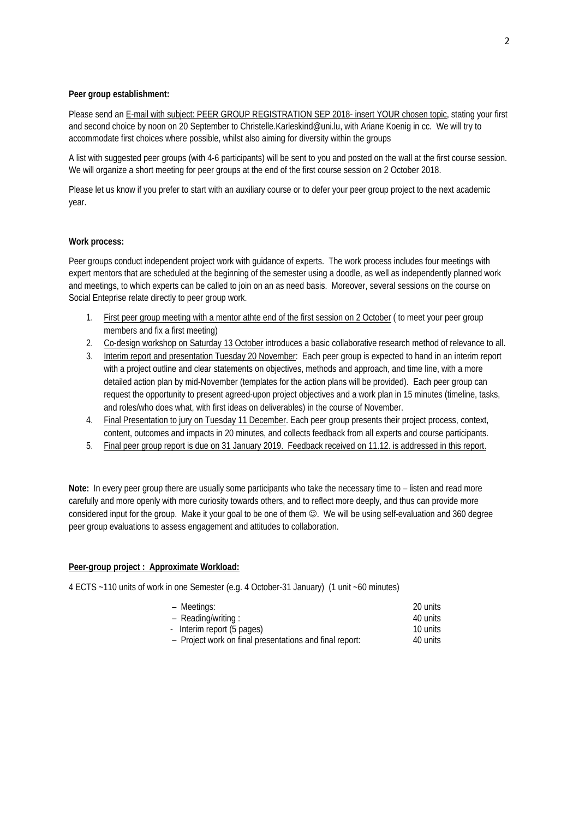### **Peer group establishment:**

Please send an E-mail with subject: PEER GROUP REGISTRATION SEP 2018- insert YOUR chosen topic, stating your first and second choice by noon on 20 September to Christelle.Karleskind@uni.lu, with Ariane Koenig in cc. We will try to accommodate first choices where possible, whilst also aiming for diversity within the groups

A list with suggested peer groups (with 4-6 participants) will be sent to you and posted on the wall at the first course session. We will organize a short meeting for peer groups at the end of the first course session on 2 October 2018.

Please let us know if you prefer to start with an auxiliary course or to defer your peer group project to the next academic year.

### **Work process:**

Peer groups conduct independent project work with guidance of experts. The work process includes four meetings with expert mentors that are scheduled at the beginning of the semester using a doodle, as well as independently planned work and meetings, to which experts can be called to join on an as need basis. Moreover, several sessions on the course on Social Enteprise relate directly to peer group work.

- 1. First peer group meeting with a mentor athte end of the first session on 2 October ( to meet your peer group members and fix a first meeting)
- 2. Co-design workshop on Saturday 13 October introduces a basic collaborative research method of relevance to all.
- 3. Interim report and presentation Tuesday 20 November: Each peer group is expected to hand in an interim report with a project outline and clear statements on objectives, methods and approach, and time line, with a more detailed action plan by mid-November (templates for the action plans will be provided). Each peer group can request the opportunity to present agreed-upon project objectives and a work plan in 15 minutes (timeline, tasks, and roles/who does what, with first ideas on deliverables) in the course of November.
- 4. Final Presentation to jury on Tuesday 11 December. Each peer group presents their project process, context, content, outcomes and impacts in 20 minutes, and collects feedback from all experts and course participants.
- 5. Final peer group report is due on 31 January 2019. Feedback received on 11.12. is addressed in this report.

**Note:** In every peer group there are usually some participants who take the necessary time to – listen and read more carefully and more openly with more curiosity towards others, and to reflect more deeply, and thus can provide more considered input for the group. Make it your goal to be one of them  $\circledcirc$ . We will be using self-evaluation and 360 degree peer group evaluations to assess engagement and attitudes to collaboration.

#### **Peer-group project : Approximate Workload:**

4 ECTS ~110 units of work in one Semester (e.g. 4 October-31 January) (1 unit ~60 minutes)

| - Meetings:                                             | 20 units |
|---------------------------------------------------------|----------|
| - Reading/writing:                                      | 40 units |
| - Interim report (5 pages)                              | 10 units |
| - Project work on final presentations and final report: | 40 units |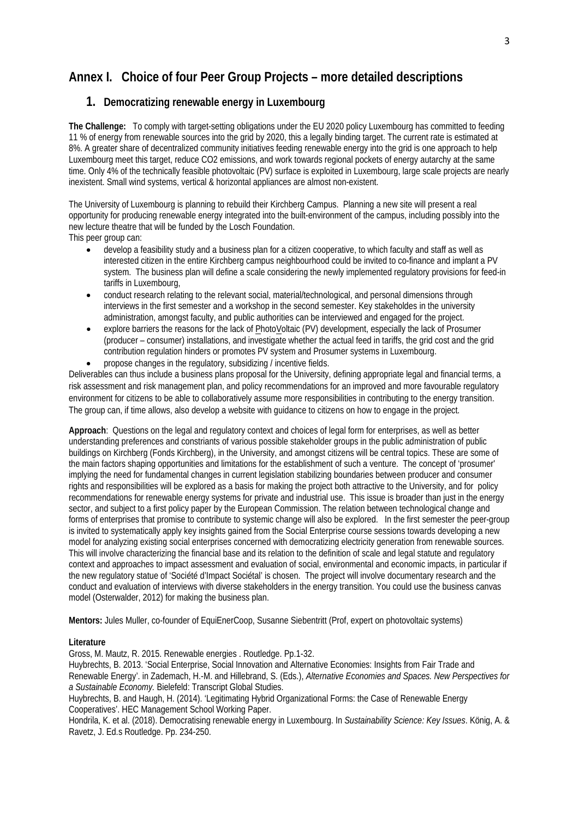# **Annex I. Choice of four Peer Group Projects – more detailed descriptions**

# **1. Democratizing renewable energy in Luxembourg**

**The Challenge:** To comply with target-setting obligations under the EU 2020 policy Luxembourg has committed to feeding 11 % of energy from renewable sources into the grid by 2020, this a legally binding target. The current rate is estimated at 8%. A greater share of decentralized community initiatives feeding renewable energy into the grid is one approach to help Luxembourg meet this target, reduce CO2 emissions, and work towards regional pockets of energy autarchy at the same time. Only 4% of the technically feasible photovoltaic (PV) surface is exploited in Luxembourg, large scale projects are nearly inexistent. Small wind systems, vertical & horizontal appliances are almost non-existent.

The University of Luxembourg is planning to rebuild their Kirchberg Campus. Planning a new site will present a real opportunity for producing renewable energy integrated into the built-environment of the campus, including possibly into the new lecture theatre that will be funded by the Losch Foundation.

This peer group can:

- develop a feasibility study and a business plan for a citizen cooperative, to which faculty and staff as well as interested citizen in the entire Kirchberg campus neighbourhood could be invited to co-finance and implant a PV system. The business plan will define a scale considering the newly implemented regulatory provisions for feed-in tariffs in Luxembourg,
- conduct research relating to the relevant social, material/technological, and personal dimensions through interviews in the first semester and a workshop in the second semester. Key stakeholdes in the university administration, amongst faculty, and public authorities can be interviewed and engaged for the project.
- explore barriers the reasons for the lack of PhotoVoltaic (PV) development, especially the lack of Prosumer (producer – consumer) installations, and investigate whether the actual feed in tariffs, the grid cost and the grid contribution regulation hinders or promotes PV system and Prosumer systems in Luxembourg.
- propose changes in the regulatory, subsidizing / incentive fields.

Deliverables can thus include a business plans proposal for the University, defining appropriate legal and financial terms, a risk assessment and risk management plan, and policy recommendations for an improved and more favourable regulatory environment for citizens to be able to collaboratively assume more responsibilities in contributing to the energy transition. The group can, if time allows, also develop a website with guidance to citizens on how to engage in the project.

**Approach**: Questions on the legal and regulatory context and choices of legal form for enterprises, as well as better understanding preferences and constriants of various possible stakeholder groups in the public administration of public buildings on Kirchberg (Fonds Kirchberg), in the University, and amongst citizens will be central topics. These are some of the main factors shaping opportunities and limitations for the establishment of such a venture. The concept of 'prosumer' implying the need for fundamental changes in current legislation stabilizing boundaries between producer and consumer rights and responsibilities will be explored as a basis for making the project both attractive to the University, and for policy recommendations for renewable energy systems for private and industrial use. This issue is broader than just in the energy sector, and subject to a first policy paper by the European Commission. The relation between technological change and forms of enterprises that promise to contribute to systemic change will also be explored. In the first semester the peer-group is invited to systematically apply key insights gained from the Social Enterprise course sessions towards developing a new model for analyzing existing social enterprises concerned with democratizing electricity generation from renewable sources. This will involve characterizing the financial base and its relation to the definition of scale and legal statute and regulatory context and approaches to impact assessment and evaluation of social, environmental and economic impacts, in particular if the new regulatory statue of 'Société d'Impact Sociétal' is chosen. The project will involve documentary research and the conduct and evaluation of interviews with diverse stakeholders in the energy transition. You could use the business canvas model (Osterwalder, 2012) for making the business plan.

**Mentors:** Jules Muller, co-founder of EquiEnerCoop, Susanne Siebentritt (Prof, expert on photovoltaic systems)

#### **Literature**

Gross, M. Mautz, R. 2015. Renewable energies . Routledge. Pp.1-32.

Huybrechts, B. 2013. 'Social Enterprise, Social Innovation and Alternative Economies: Insights from Fair Trade and Renewable Energy'. in Zademach, H.-M. and Hillebrand, S. (Eds.), *Alternative Economies and Spaces. New Perspectives for a Sustainable Economy.* Bielefeld: Transcript Global Studies.

Huybrechts, B. and Haugh, H. (2014). 'Legitimating Hybrid Organizational Forms: the Case of Renewable Energy Cooperatives'. HEC Management School Working Paper.

Hondrila, K. et al. (2018). Democratising renewable energy in Luxembourg. In *Sustainability Science: Key Issues*. König, A. & Ravetz, J. Ed.s Routledge. Pp. 234-250.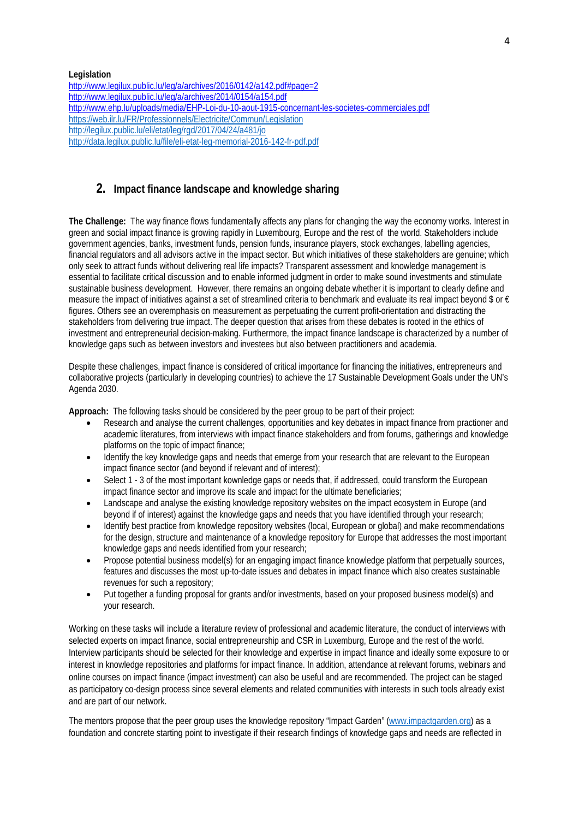**Legislation** <http://www.legilux.public.lu/leg/a/archives/2016/0142/a142.pdf#page=2> <http://www.legilux.public.lu/leg/a/archives/2014/0154/a154.pdf> <http://www.ehp.lu/uploads/media/EHP-Loi-du-10-aout-1915-concernant-les-societes-commerciales.pdf> <https://web.ilr.lu/FR/Professionnels/Electricite/Commun/Legislation> <http://legilux.public.lu/eli/etat/leg/rgd/2017/04/24/a481/jo> <http://data.legilux.public.lu/file/eli-etat-leg-memorial-2016-142-fr-pdf.pdf>

# **2. Impact finance landscape and knowledge sharing**

**The Challenge:** The way finance flows fundamentally affects any plans for changing the way the economy works. Interest in green and social impact finance is growing rapidly in Luxembourg, Europe and the rest of the world. Stakeholders include government agencies, banks, investment funds, pension funds, insurance players, stock exchanges, labelling agencies, financial regulators and all advisors active in the impact sector. But which initiatives of these stakeholders are genuine; which only seek to attract funds without delivering real life impacts? Transparent assessment and knowledge management is essential to facilitate critical discussion and to enable informed judgment in order to make sound investments and stimulate sustainable business development. However, there remains an ongoing debate whether it is important to clearly define and measure the impact of initiatives against a set of streamlined criteria to benchmark and evaluate its real impact beyond \$ or € figures. Others see an overemphasis on measurement as perpetuating the current profit-orientation and distracting the stakeholders from delivering true impact. The deeper question that arises from these debates is rooted in the ethics of investment and entrepreneurial decision-making. Furthermore, the impact finance landscape is characterized by a number of knowledge gaps such as between investors and investees but also between practitioners and academia.

Despite these challenges, impact finance is considered of critical importance for financing the initiatives, entrepreneurs and collaborative projects (particularly in developing countries) to achieve the 17 Sustainable Development Goals under the UN's Agenda 2030.

**Approach:** The following tasks should be considered by the peer group to be part of their project:

- Research and analyse the current challenges, opportunities and key debates in impact finance from practioner and academic literatures, from interviews with impact finance stakeholders and from forums, gatherings and knowledge platforms on the topic of impact finance;
- Identify the key knowledge gaps and needs that emerge from your research that are relevant to the European impact finance sector (and beyond if relevant and of interest);
- Select 1 3 of the most important kownledge gaps or needs that, if addressed, could transform the European impact finance sector and improve its scale and impact for the ultimate beneficiaries;
- Landscape and analyse the existing knowledge repository websites on the impact ecosystem in Europe (and beyond if of interest) against the knowledge gaps and needs that you have identified through your research;
- Identify best practice from knowledge repository websites (local, European or global) and make recommendations for the design, structure and maintenance of a knowledge repository for Europe that addresses the most important knowledge gaps and needs identified from your research;
- Propose potential business model(s) for an engaging impact finance knowledge platform that perpetually sources, features and discusses the most up-to-date issues and debates in impact finance which also creates sustainable revenues for such a repository;
- Put together a funding proposal for grants and/or investments, based on your proposed business model(s) and your research.

Working on these tasks will include a literature review of professional and academic literature, the conduct of interviews with selected experts on impact finance, social entrepreneurship and CSR in Luxemburg, Europe and the rest of the world. Interview participants should be selected for their knowledge and expertise in impact finance and ideally some exposure to or interest in knowledge repositories and platforms for impact finance. In addition, attendance at relevant forums, webinars and online courses on impact finance (impact investment) can also be useful and are recommended. The project can be staged as participatory co-design process since several elements and related communities with interests in such tools already exist and are part of our network.

The mentors propose that the peer group uses the knowledge repository "Impact Garden" [\(www.impactgarden.org\)](http://www.impactgarden.org/) as a foundation and concrete starting point to investigate if their research findings of knowledge gaps and needs are reflected in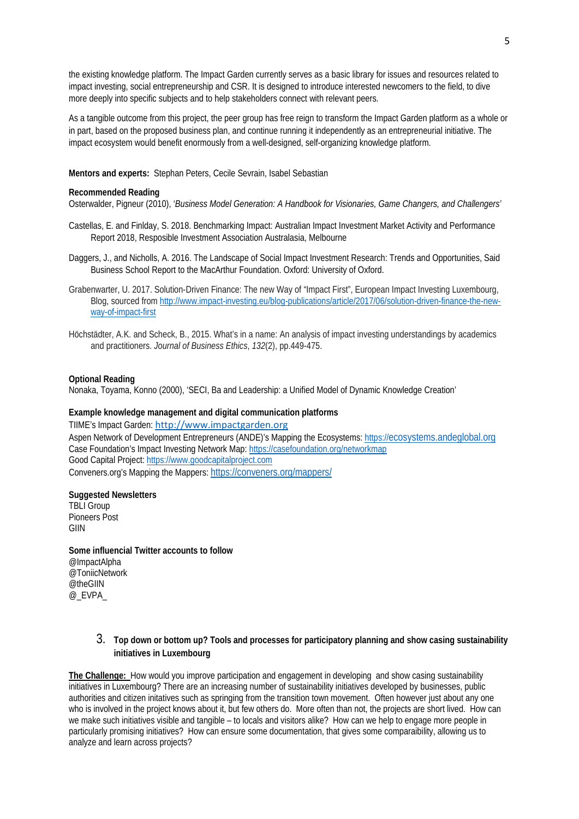the existing knowledge platform. The Impact Garden currently serves as a basic library for issues and resources related to impact investing, social entrepreneurship and CSR. It is designed to introduce interested newcomers to the field, to dive more deeply into specific subjects and to help stakeholders connect with relevant peers.

As a tangible outcome from this project, the peer group has free reign to transform the Impact Garden platform as a whole or in part, based on the proposed business plan, and continue running it independently as an entrepreneurial initiative. The impact ecosystem would benefit enormously from a well-designed, self-organizing knowledge platform.

**Mentors and experts:** Stephan Peters, Cecile Sevrain, Isabel Sebastian

#### **Recommended Reading**

Osterwalder, Pigneur (2010), '*Business Model Generation: A Handbook for Visionaries, Game Changers, and Challengers'*

- Castellas, E. and Finlday, S. 2018. Benchmarking Impact: Australian Impact Investment Market Activity and Performance Report 2018, Resposible Investment Association Australasia, Melbourne
- Daggers, J., and Nicholls, A. 2016. The Landscape of Social Impact Investment Research: Trends and Opportunities, Said Business School Report to the MacArthur Foundation. Oxford: University of Oxford.
- Grabenwarter, U. 2017. Solution-Driven Finance: The new Way of "Impact First", European Impact Investing Luxembourg, Blog, sourced fro[m http://www.impact-investing.eu/blog-publications/article/2017/06/solution-driven-finance-the-new](http://www.impact-investing.eu/blog-publications/article/2017/06/solution-driven-finance-the-new-way-of-impact-first)[way-of-impact-first](http://www.impact-investing.eu/blog-publications/article/2017/06/solution-driven-finance-the-new-way-of-impact-first)
- Höchstädter, A.K. and Scheck, B., 2015. What's in a name: An analysis of impact investing understandings by academics and practitioners. *Journal of Business Ethics*, *132*(2), pp.449-475.

#### **Optional Reading**

Nonaka, Toyama, Konno (2000), 'SECI, Ba and Leadership: a Unified Model of Dynamic Knowledge Creation'

#### **Example knowledge management and digital communication platforms**

TIIME's Impact Garden: [http://www.impactgarden.org](http://www.impactgarden.org/) Aspen Network of Development Entrepreneurs (ANDE)'s Mapping the Ecosystems: [https://ecosystems.andeglobal.org](https://ecosystems.andeglobal.org/) Case Foundation's Impact Investing Network Map: <https://casefoundation.org/networkmap> Good Capital Project: [https://www.goodcapitalproject.com](https://www.goodcapitalproject.com/) Conveners.org's Mapping the Mappers[: https://conveners.org/mappers/](https://conveners.org/mappers/)

#### **Suggested Newsletters**

TBLI Group Pioneers Post GIIN

**Some influencial Twitter accounts to follow** @ImpactAlpha @ToniicNetwork @theGIIN @\_EVPA\_

## 3. **Top down or bottom up? Tools and processes for participatory planning and show casing sustainability initiatives in Luxembourg**

**The Challenge:** How would you improve participation and engagement in developing and show casing sustainability initiatives in Luxembourg? There are an increasing number of sustainability initiatives developed by businesses, public authorities and citizen initatives such as springing from the transition town movement. Often however just about any one who is involved in the project knows about it, but few others do. More often than not, the projects are short lived. How can we make such initiatives visible and tangible – to locals and visitors alike? How can we help to engage more people in particularly promising initiatives? How can ensure some documentation, that gives some comparaibility, allowing us to analyze and learn across projects?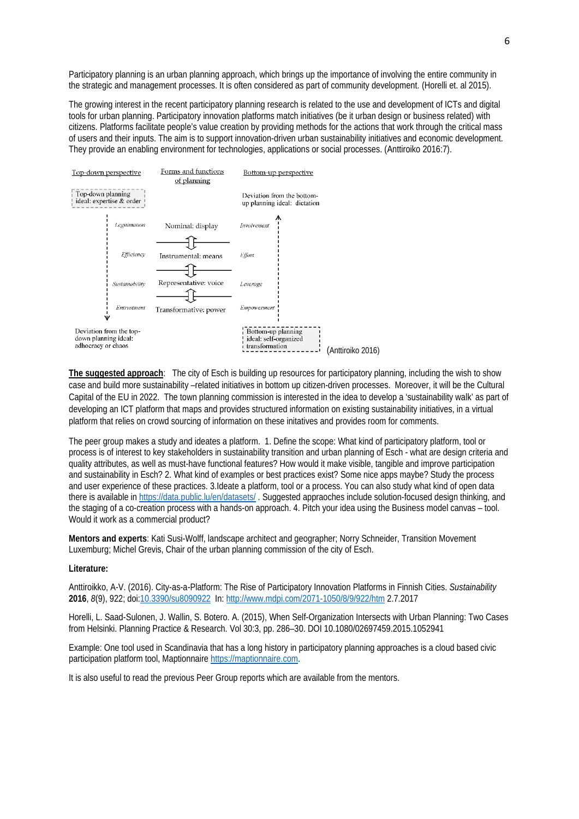Participatory planning is an urban planning approach, which brings up the importance of involving the entire community in the strategic and management processes. It is often considered as part of community development. (Horelli et. al 2015).

The growing interest in the recent participatory planning research is related to the use and development of ICTs and digital tools for urban planning. Participatory innovation platforms match initiatives (be it urban design or business related) with citizens. Platforms facilitate people's value creation by providing methods for the actions that work through the critical mass of users and their inputs. The aim is to support innovation-driven urban sustainability initiatives and economic development. They provide an enabling environment for technologies, applications or social processes. (Anttiroiko 2016:7).



**The suggested approach**: The city of Esch is building up resources for participatory planning, including the wish to show case and build more sustainability –related initiatives in bottom up citizen-driven processes. Moreover, it will be the Cultural Capital of the EU in 2022. The town planning commission is interested in the idea to develop a 'sustainability walk' as part of developing an ICT platform that maps and provides structured information on existing sustainability initiatives, in a virtual platform that relies on crowd sourcing of information on these initatives and provides room for comments.

The peer group makes a study and ideates a platform. 1. Define the scope: What kind of participatory platform, tool or process is of interest to key stakeholders in sustainability transition and urban planning of Esch - what are design criteria and quality attributes, as well as must-have functional features? How would it make visible, tangible and improve participation and sustainability in Esch? 2. What kind of examples or best practices exist? Some nice apps maybe? Study the process and user experience of these practices. 3.Ideate a platform, tool or a process. You can also study what kind of open data there is available in<https://data.public.lu/en/datasets/> . Suggested appraoches include solution-focused design thinking, and the staging of a co-creation process with a hands-on approach. 4. Pitch your idea using the Business model canvas – tool. Would it work as a commercial product?

**Mentors and experts**: Kati Susi-Wolff, landscape architect and geographer; Norry Schneider, Transition Movement Luxemburg; Michel Grevis, Chair of the urban planning commission of the city of Esch.

#### **Literature:**

Anttiroikko, A-V. (2016). City-as-a-Platform: The Rise of Participatory Innovation Platforms in Finnish Cities. *Sustainability* **2016**, *8*(9), 922; doi[:10.3390/su8090922](http://dx.doi.org/10.3390/su8090922) In[: http://www.mdpi.com/2071-1050/8/9/922/htm](http://www.mdpi.com/2071-1050/8/9/922/htm) 2.7.2017

Horelli, L. Saad-Sulonen, J. Wallin, S. Botero. A. (2015), When Self-Organization Intersects with Urban Planning: Two Cases from Helsinki. Planning Practice & Research. Vol 30:3, pp. 286–30. DOI 10.1080/02697459.2015.1052941

Example: One tool used in Scandinavia that has a long history in participatory planning approaches is a cloud based civic participation platform tool, Maptionnair[e https://maptionnaire.com.](https://maptionnaire.com/) 

It is also useful to read the previous Peer Group reports which are available from the mentors.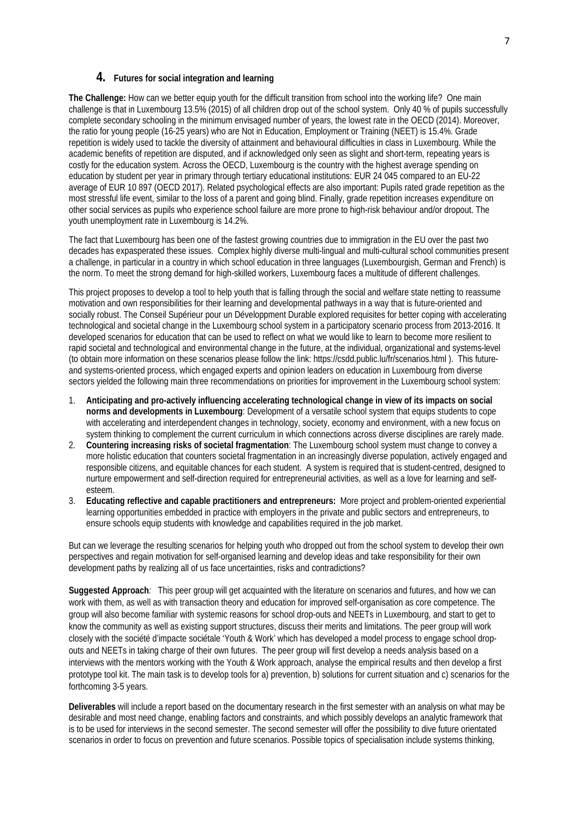## **4. Futures for social integration and learning**

**The Challenge:** How can we better equip youth for the difficult transition from school into the working life? One main challenge is that in Luxembourg 13.5% (2015) of all children drop out of the school system. Only 40 % of pupils successfully complete secondary schooling in the minimum envisaged number of years, the lowest rate in the OECD (2014). Moreover, the ratio for young people (16-25 years) who are Not in Education, Employment or Training (NEET) is 15.4%. Grade repetition is widely used to tackle the diversity of attainment and behavioural difficulties in class in Luxembourg. While the academic benefits of repetition are disputed, and if acknowledged only seen as slight and short-term, repeating years is costly for the education system. Across the OECD, Luxembourg is the country with the highest average spending on education by student per year in primary through tertiary educational institutions: EUR 24 045 compared to an EU-22 average of EUR 10 897 (OECD 2017). Related psychological effects are also important: Pupils rated grade repetition as the most stressful life event, similar to the loss of a parent and going blind. Finally, grade repetition increases expenditure on other social services as pupils who experience school failure are more prone to high-risk behaviour and/or dropout. The youth unemployment rate in Luxembourg is 14.2%.

The fact that Luxembourg has been one of the fastest growing countries due to immigration in the EU over the past two decades has expasperated these issues. Complex highly diverse multi-lingual and multi-cultural school communities present a challenge, in particular in a country in which school education in three languages (Luxembourgish, German and French) is the norm. To meet the strong demand for high-skilled workers, Luxembourg faces a multitude of different challenges.

This project proposes to develop a tool to help youth that is falling through the social and welfare state netting to reassume motivation and own responsibilities for their learning and developmental pathways in a way that is future-oriented and socially robust. The Conseil Supérieur pour un Développment Durable explored requisites for better coping with accelerating technological and societal change in the Luxembourg school system in a participatory scenario process from 2013-2016. It developed scenarios for education that can be used to reflect on what we would like to learn to become more resilient to rapid societal and technological and environmental change in the future, at the individual, organizational and systems-level (to obtain more information on these scenarios please follow the link: https://csdd.public.lu/fr/scenarios.html ). This futureand systems-oriented process, which engaged experts and opinion leaders on education in Luxembourg from diverse sectors yielded the following main three recommendations on priorities for improvement in the Luxembourg school system:

- 1. **Anticipating and pro-actively influencing accelerating technological change in view of its impacts on social norms and developments in Luxembourg**: Development of a versatile school system that equips students to cope with accelerating and interdependent changes in technology, society, economy and environment, with a new focus on system thinking to complement the current curriculum in which connections across diverse disciplines are rarely made.
- 2. **Countering increasing risks of societal fragmentation**: The Luxembourg school system must change to convey a more holistic education that counters societal fragmentation in an increasingly diverse population, actively engaged and responsible citizens, and equitable chances for each student. A system is required that is student-centred, designed to nurture empowerment and self-direction required for entrepreneurial activities, as well as a love for learning and selfesteem.
- 3. **Educating reflective and capable practitioners and entrepreneurs:** More project and problem-oriented experiential learning opportunities embedded in practice with employers in the private and public sectors and entrepreneurs, to ensure schools equip students with knowledge and capabilities required in the job market.

But can we leverage the resulting scenarios for helping youth who dropped out from the school system to develop their own perspectives and regain motivation for self-organised learning and develop ideas and take responsibility for their own development paths by realizing all of us face uncertainties, risks and contradictions?

**Suggested Approach***:* This peer group will get acquainted with the literature on scenarios and futures, and how we can work with them, as well as with transaction theory and education for improved self-organisation as core competence. The group will also become familiar with systemic reasons for school drop-outs and NEETs in Luxembourg, and start to get to know the community as well as existing support structures, discuss their merits and limitations. The peer group will work closely with the société d'impacte sociétale 'Youth & Work' which has developed a model process to engage school dropouts and NEETs in taking charge of their own futures. The peer group will first develop a needs analysis based on a interviews with the mentors working with the Youth & Work approach, analyse the empirical results and then develop a first prototype tool kit. The main task is to develop tools for a) prevention, b) solutions for current situation and c) scenarios for the forthcoming 3-5 years.

**Deliverables** will include a report based on the documentary research in the first semester with an analysis on what may be desirable and most need change, enabling factors and constraints, and which possibly develops an analytic framework that is to be used for interviews in the second semester. The second semester will offer the possibility to dive future orientated scenarios in order to focus on prevention and future scenarios. Possible topics of specialisation include systems thinking,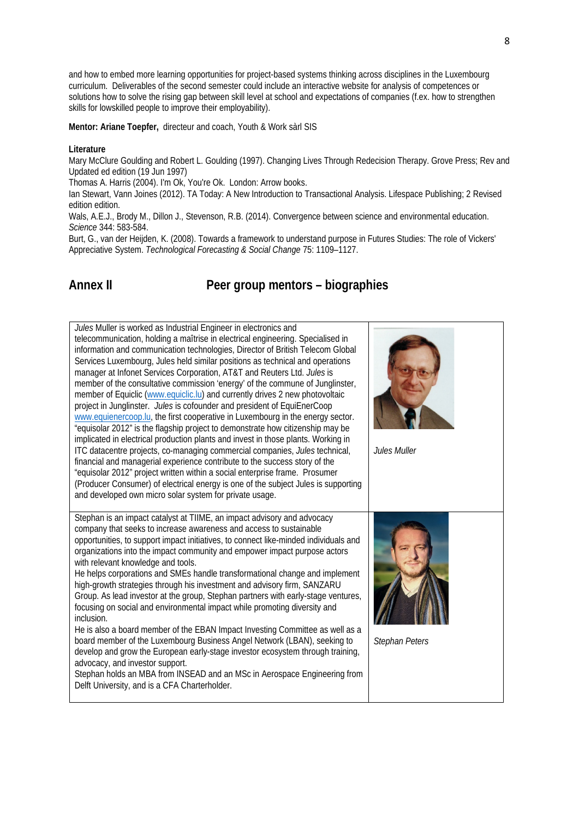and how to embed more learning opportunities for project-based systems thinking across disciplines in the Luxembourg curriculum. Deliverables of the second semester could include an interactive website for analysis of competences or solutions how to solve the rising gap between skill level at school and expectations of companies (f.ex. how to strengthen skills for lowskilled people to improve their employability).

**Mentor: Ariane Toepfer,** directeur and coach, Youth & Work sàrl SIS

#### **Literature**

Mary McClure Goulding and Robert L. Goulding (1997). Changing Lives Through Redecision Therapy. Grove Press; Rev and Updated ed edition (19 Jun 1997)

Thomas A. Harris (2004). I'm Ok, You're Ok. London: Arrow books.

Ian Stewart, Vann Joines (2012). TA Today: A New Introduction to Transactional Analysis. Lifespace Publishing; 2 Revised edition edition.

Wals, A.E.J., Brody M., Dillon J., Stevenson, R.B. (2014). Convergence between science and environmental education. *Science* 344: 583-584.

Burt, G., van der Heijden, K. (2008). Towards a framework to understand purpose in Futures Studies: The role of Vickers' Appreciative System. *Technological Forecasting & Social Change* 75: 1109–1127.

# **Annex II Peer group mentors – biographies**